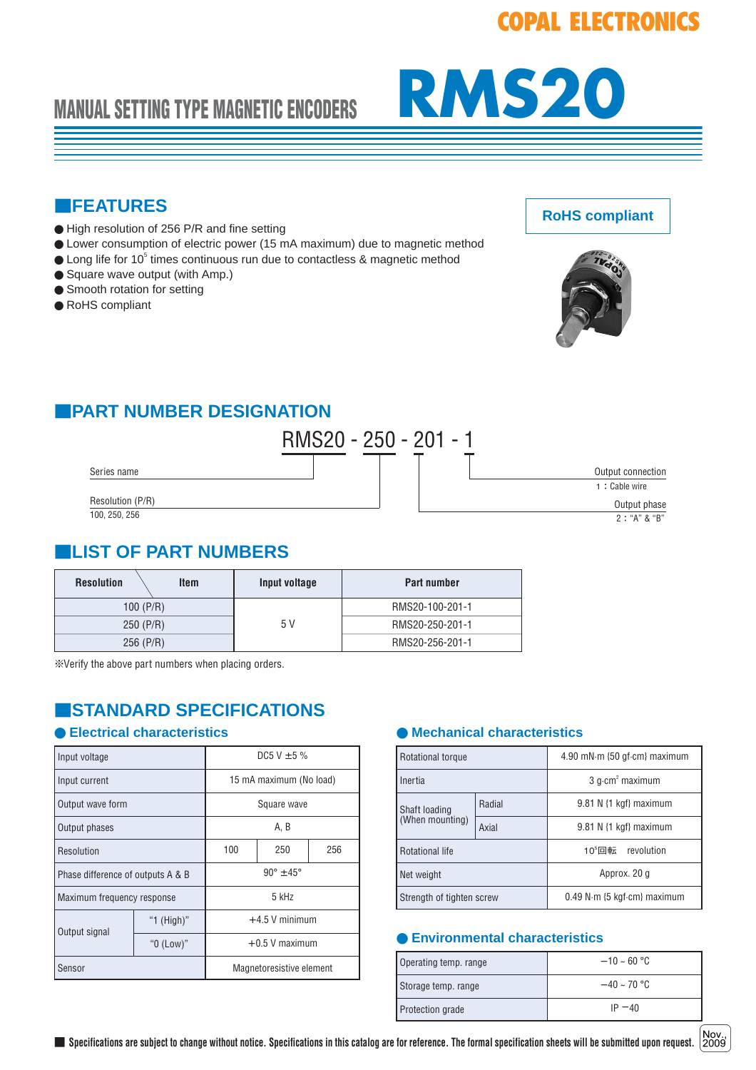# **COPAL ELECTRONICS**



## ■**FEATURES**

- High resolution of 256 P/R and fine setting
- Lower consumption of electric power (15 mA maximum) due to magnetic method
- $\bullet$  Long life for 10<sup>5</sup> times continuous run due to contactless & magnetic method
- Square wave output (with Amp.)
- Smooth rotation for setting
- RoHS compliant



**RoHS compliant**

## ■**PART NUMBER DESIGNATION**



## ■**LIST OF PART NUMBERS**

| <b>Resolution</b><br>ltem | Input voltage | <b>Part number</b> |
|---------------------------|---------------|--------------------|
| 100 $(P/R)$               | 5 V           | RMS20-100-201-1    |
| $250$ (P/R)               |               | RMS20-250-201-1    |
| $256$ (P/R)               |               | RMS20-256-201-1    |

※Verify the above part numbers when placing orders.

## ■**STANDARD SPECIFICATIONS**

| Input voltage                     |            | DC5 V $\pm$ 5 %         |                          |     |
|-----------------------------------|------------|-------------------------|--------------------------|-----|
| Input current                     |            | 15 mA maximum (No load) |                          |     |
| Output wave form                  |            | Square wave             |                          |     |
| Output phases                     |            | A. B                    |                          |     |
| Resolution                        |            | 100                     | 250                      | 256 |
| Phase difference of outputs A & B |            | $90^{\circ}$ ± 45°      |                          |     |
| Maximum frequency response        |            | 5 kHz                   |                          |     |
| Output signal                     | "1 (High)" | $+4.5$ V minimum        |                          |     |
|                                   | "0 (Low)"  | $+0.5$ V maximum        |                          |     |
| Sensor                            |            |                         | Magnetoresistive element |     |

### ● Electrical characteristics 
■ **Mechanical characteristics**

| <b>Rotational torque</b>         |        | 4.90 mN·m {50 gf·cm} maximum                  |  |
|----------------------------------|--------|-----------------------------------------------|--|
| Inertia                          |        | $3$ q $\cdot$ cm <sup>2</sup> maximum         |  |
| Shaft loading<br>(When mounting) | Radial | 9.81 N {1 kgf} maximum                        |  |
|                                  | Axial  | $9.81$ N {1 kgf} maximum                      |  |
| <b>Rotational life</b>           |        | 10 $^5$ 回転<br>revolution                      |  |
| Net weight                       |        | Approx. 20 g                                  |  |
| Strength of tighten screw        |        | $0.49$ N $\cdot$ m {5 kgf $\cdot$ cm} maximum |  |

#### ● **Environmental characteristics**

| Operating temp. range | $-10 \sim 60$ °C |
|-----------------------|------------------|
| Storage temp. range   | $-40 \sim 70$ °C |
| Protection grade      | $IP - 40$        |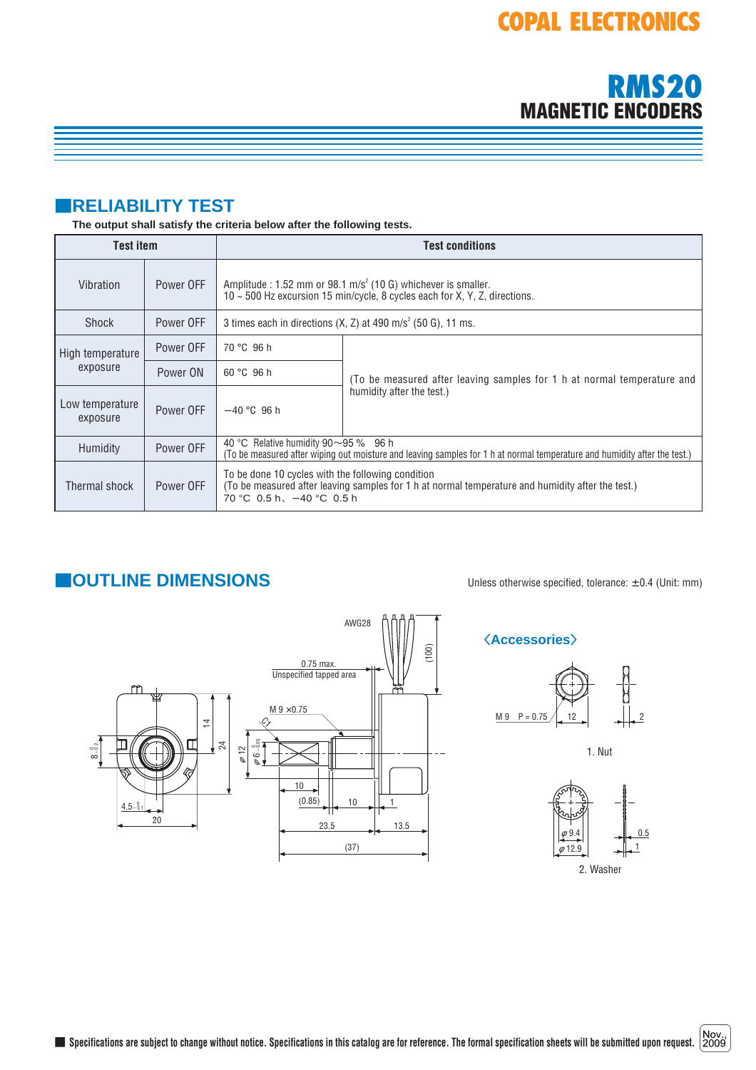**MAGNETIC ENCODERS**

**RMS20**

# ■**RELIABILITY TEST**

#### **The output shall satisfy the criteria below after the following tests.**

| <b>Test item</b>            |           | <b>Test conditions</b>                                                                                                                                                                |                                                                         |  |
|-----------------------------|-----------|---------------------------------------------------------------------------------------------------------------------------------------------------------------------------------------|-------------------------------------------------------------------------|--|
| Vibration                   | Power OFF | Amplitude : 1.52 mm or 98.1 m/s <sup>2</sup> (10 G) whichever is smaller.<br>10 ~ 500 Hz excursion 15 min/cycle, 8 cycles each for X, Y, Z, directions.                               |                                                                         |  |
| Shock                       | Power OFF | 3 times each in directions $(X, Z)$ at 490 m/s <sup>2</sup> (50 G), 11 ms.                                                                                                            |                                                                         |  |
| High temperature            | Power OFF | 70 °C 96 h                                                                                                                                                                            |                                                                         |  |
| exposure                    | Power ON  | 60 °C 96 h                                                                                                                                                                            | (To be measured after leaving samples for 1 h at normal temperature and |  |
| Low temperature<br>exposure | Power OFF | $-40$ °C 96 h                                                                                                                                                                         | humidity after the test.)                                               |  |
| Humidity                    | Power OFF | 40 °C Relative humidity $90 \sim 95$ % 96 h<br>(To be measured after wiping out moisture and leaving samples for 1 h at normal temperature and humidity after the test.)              |                                                                         |  |
| Thermal shock               | Power OFF | To be done 10 cycles with the following condition<br>(To be measured after leaving samples for 1 h at normal temperature and humidity after the test.)<br>70 °C 0.5 h, $-40$ °C 0.5 h |                                                                         |  |

## ■**OUTLINE DIMENSIONS** Unless otherwise specified, tolerance: <sup>±</sup> 0.4 (Unit: mm)



### 〈**Accessories**〉



1. Nut